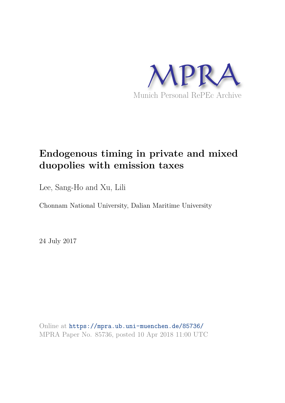

# **Endogenous timing in private and mixed duopolies with emission taxes**

Lee, Sang-Ho and Xu, Lili

Chonnam National University, Dalian Maritime University

24 July 2017

Online at https://mpra.ub.uni-muenchen.de/85736/ MPRA Paper No. 85736, posted 10 Apr 2018 11:00 UTC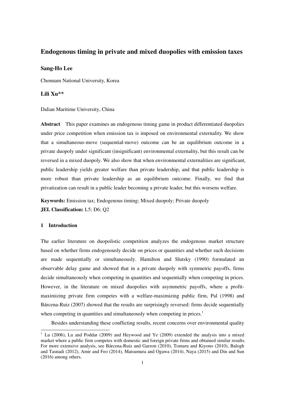## **Endogenous timing in private and mixed duopolies with emission taxes**

## **Sang-Ho Lee**

Chonnam National University, Korea

### **Lili Xu\*\***

Dalian Maritime University, China

**Abstract** This paper examines an endogenous timing game in product differentiated duopolies under price competition when emission tax is imposed on environmental externality. We show that a simultaneous-move (sequential-move) outcome can be an equilibrium outcome in a private duopoly under significant (insignificant) environmental externality, but this result can be reversed in a mixed duopoly. We also show that when environmental externalities are significant, public leadership yields greater welfare than private leadership, and that public leadership is more robust than private leadership as an equilibrium outcome. Finally, we find that privatization can result in a public leader becoming a private leader, but this worsens welfare.

**Keywords:** Emission tax; Endogenous timing; Mixed duopoly; Private duopoly **JEL Classification:** L5; D6; Q2

#### **1 Introduction**

The earlier literature on duopolistic competition analyzes the endogenous market structure based on whether firms endogenously decide on prices or quantities and whether such decisions are made sequentially or simultaneously. Hamilton and Slutsky (1990) formulated an observable delay game and showed that in a private duopoly with symmetric payoffs, firms decide simultaneously when competing in quantities and sequentially when competing in prices. However, in the literature on mixed duopolies with asymmetric payoffs, where a profitmaximizing private firm competes with a welfare-maximizing public firm, Pal (1998) and Bárcena-Ruiz (2007) showed that the results are surprisingly reversed: firms decide sequentially when competing in quantities and simultaneously when competing in prices.<sup>1</sup>

Besides understanding these conflicting results, recent concerns over environmental quality

<sup>&</sup>lt;sup>1</sup> Lu (2006), Lu and Poddar (2009) and Heywood and Ye (2009) extended the analysis into a mixed market where a public firm competes with domestic and foreign private firms and obtained similar results. For more extensive analysis, see Bárcena-Ruiz and Garzon (2010), Tomaru and Kiyono (2010), Balogh and Tasnadi (2012), Amir and Feo (2014), Matsumura and Ogawa (2014), Naya (2015) and Din and Sun (2016) among others.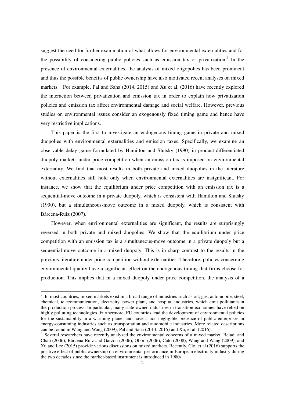suggest the need for further examination of what allows for environmental externalities and for the possibility of considering public policies such as emission tax or privatization.<sup>2</sup> In the presence of environmental externalities, the analysis of mixed oligopolies has been prominent and thus the possible benefits of public ownership have also motivated recent analyses on mixed markets.<sup>3</sup> For example, Pal and Saha (2014, 2015) and Xu et al. (2016) have recently explored the interaction between privatization and emission tax in order to explain how privatization policies and emission tax affect environmental damage and social welfare. However, previous studies on environmental issues consider an exogenously fixed timing game and hence have very restrictive implications.

This paper is the first to investigate an endogenous timing game in private and mixed duopolies with environmental externalities and emission taxes. Specifically, we examine an observable delay game formulated by Hamilton and Slutsky (1990) in product-differentiated duopoly markets under price competition when an emission tax is imposed on environmental externality. We find that most results in both private and mixed duopolies in the literature without externalities still hold only when environmental externalities are insignificant. For instance, we show that the equilibrium under price competition with an emission tax is a sequential-move outcome in a private duopoly, which is consistent with Hamilton and Slutsky (1990), but a simultaneous-move outcome in a mixed duopoly, which is consistent with Bárcena-Ruiz (2007).

However, when environmental externalities are significant, the results are surprisingly reversed in both private and mixed duopolies. We show that the equilibrium under price competition with an emission tax is a simultaneous-move outcome in a private duopoly but a sequential-move outcome in a mixed duopoly. This is in sharp contrast to the results in the previous literature under price competition without externalities. Therefore, policies concerning environmental quality have a significant effect on the endogenous timing that firms choose for production. This implies that in a mixed duopoly under price competition, the analysis of a

<sup>&</sup>lt;sup>2</sup> In most countries, mixed markets exist in a broad range of industries such as oil, gas, automobile, steel, chemical, telecommunication, electricity, power plant, and hospital industries, which emit pollutants in the production process. In particular, many state-owned industries in transition economies have relied on highly polluting technologies. Furthermore, EU countries lead the development of environmental policies for the sustainability in a warming planet and have a non-negligible presence of public enterprises in energy-consuming industries such as transportation and automobile industries. More related descriptions can be found in Wang and Wang (2009), Pal and Saha (2014, 2015) and Xu, et al. (2016).

<sup>&</sup>lt;sup>3</sup> Several researchers have recently analyzed the environmental concerns of a mixed market. Beladi and Chao (2006), Bárcena-Ruiz and Garzon (2006), Ohori (2006), Cato (2008), Wang and Wang (2009), and Xu and Lee (2015) provide various discussions on mixed markets. Recently, Clo, et al (2016) supports the positive effect of public ownership on environmental performance in European electricity industry during the two decades since the market-based instrument is introduced in 1980s.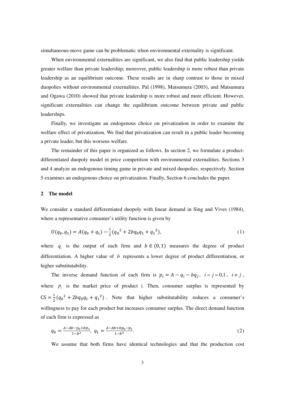simultaneous-move game can be problematic when environmental externality is significant.

When environmental externalities are significant, we also find that public leadership yields greater welfare than private leadership; moreover, public leadership is more robust than private leadership as an equilibrium outcome. These results are in sharp contrast to those in mixed duopolies without environmental externalities. Pal (1998), Matsumura (2003), and Matsumura and Ogawa (2010) showed that private leadership is more robust and more efficient. However, significant externalities can change the equilibrium outcome between private and public leaderships.

Finally, we investigate an endogenous choice on privatization in order to examine the welfare effect of privatization. We find that privatization can result in a public leader becoming a private leader, but this worsens welfare.

The remainder of this paper is organized as follows. In section 2, we formulate a productdifferentiated duopoly model in price competition with environmental externalities. Sections 3 and 4 analyze an endogenous timing game in private and mixed duopolies, respectively. Section 5 examines an endogenous choice on privatization. Finally, Section 6 concludes the paper.

#### **2 The model**

We consider a standard differentiated duopoly with linear demand in Sing and Vives (1984), where a representative consumer's utility function is given by

$$
U(q_0, q_1) = A(q_0 + q_1) - \frac{1}{2}(q_0^2 + 2bq_0q_1 + q_1^2),
$$
\n(1)

where  $q_i$  is the output of each firm and  $b \in (0, 1)$  measures the degree of product differentiation. A higher value of *b* represents a lower degree of product differentiation, or higher substitutability.

The inverse demand function of each firm is  $p_i = A - q_i - bq_j$ ,  $i = j = 0, 1$ ,  $i \neq j$ , where  $p_i$  is the market price of product *i*. Then, consumer surplus is represented by  $CS = \frac{1}{2}$  $\frac{1}{2}(q_0^2 + 2bq_0q_1 + q_1^2)$ . Note that higher substitutability reduces a consumer's willingness to pay for each product but increases consumer surplus. The direct demand function of each firm is expressed as

$$
q_0 = \frac{A - Ab - p_0 + bp_1}{1 - b^2}, \quad q_1 = \frac{A - Ab + bp_0 - p_1}{1 - b^2}.
$$
\n<sup>(2)</sup>

We assume that both firms have identical technologies and that the production cost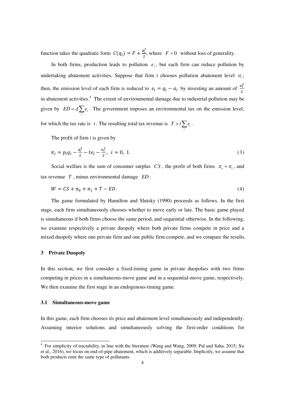function takes the quadratic form  $C(q_i) = F + \frac{q_i^2}{2}$  $\frac{di}{2}$ , where  $F = 0$  without loss of generality.

In both firms, production leads to pollution  $e_i$ , but each firm can reduce pollution by undertaking abatement activities. Suppose that firm  $i$  chooses pollution abatement level  $a_i$ ; then, the emission level of each firm is reduced to  $e_i = q_i - a_i$  by investing an amount of  $\frac{a_i^2}{2}$  $\overline{\mathbf{c}}$ in abatement activities.<sup>4</sup> The extent of environmental damage due to industrial pollution may be given by  $ED = d\sum_i e_i$ . The government imposes an environmental tax on the emission level, for which the tax rate is *t*. The resulting total tax revenue is  $T = t \sum e_i$ .

The profit of firm *i* is given by

$$
\pi_i = p_i q_i - \frac{q_i^2}{2} - t e_i - \frac{a_i^2}{2}, \quad i = 0, 1.
$$
\n(3)

*i*

Social welfare is the sum of consumer surplus *CS*, the profit of both firms  $\pi_o + \pi_1$ , and tax revenue *T* , minus environmental damage *ED* :

$$
W = CS + \pi_0 + \pi_1 + T - ED.
$$
 (4)

The game formulated by Hamilton and Slutsky (1990) proceeds as follows. In the first stage, each firm simultaneously chooses whether to move early or late. The basic game played is simultaneous if both firms choose the same period, and sequential otherwise. In the following, we examine respectively a private duopoly where both private firms compete in price and a mixed duopoly where one private firm and one public firm compete, and we compare the results.

#### **3 Private Duopoly**

In this section, we first consider a fixed-timing game in private duopolies with two firms competing in prices in a simultaneous-move game and in a sequential-move game, respectively. We then examine the first stage in an endogenous-timing game.

#### **3.1 Simultaneous-move game**

In this game, each firm chooses its price and abatement level simultaneously and independently. Assuming interior solutions and simultaneously solving the first-order conditions for

<sup>&</sup>lt;sup>4</sup> For simplicity of tractability, in line with the literature (Wang and Wang, 2009; Pal and Saha, 2015; Xu et al., 2016), we focus on end-of-pipe abatement, which is additively separable. Implicitly, we assume that both products emit the same type of pollutants.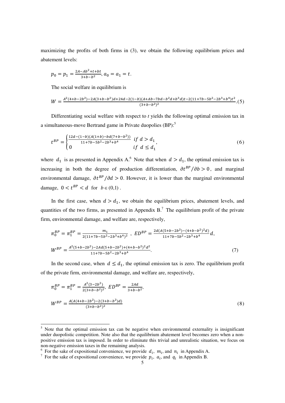maximizing the profits of both firms in (3), we obtain the following equilibrium prices and abatement levels:

$$
p_0 = p_1 = \frac{2A - Ab^2 + t + bt}{3 + b - b^2}, a_0 = a_1 = t.
$$

The social welfare in equilibrium is

$$
W = \frac{A^2(4+b-2b^2) - 2A(3+b-b^2)d + 24d - 2(1-b)(A+Ab-7bd-b^2d+b^3d)t - 2(11+7b-5b^2-2b^3+b^4)t^2}{(3+b-b^2)^2}.
$$
(5)

Differentiating social welfare with respect to *t* yields the following optimal emission tax in a simultaneous-move Bertrand game in Private duopolies  $(BP)$ :<sup>5</sup>

$$
t^{BP} = \begin{cases} \frac{12d - (1-b)(A(1+b) - bd(7+b-b^2))}{11+7b-5b^2 - 2b^3 + b^4} & \text{if } d > d_1 \\ 0 & \text{if } d \le d_1 \end{cases}
$$
 (6)

where  $d_1$  is as presented in Appendix A.<sup>6</sup> Note that when  $d > d_1$ , the optimal emission tax is increasing in both the degree of production differentiation,  $\partial t^{BP}/\partial b > 0$ , and marginal environmental damage,  $\partial t^{BP}/\partial d > 0$ . However, it is lower than the marginal environmental damage,  $0 < t^{BP} < d$  for  $b \in (0,1)$ .

In the first case, when  $d > d_1$ , we obtain the equilibrium prices, abatement levels, and quantities of the two firms, as presented in Appendix  $B$ .<sup>7</sup> The equilibrium profit of the private firm, environmental damage, and welfare are, respectively,

$$
\pi_0^{BP} = \pi_1^{BP} = \frac{m_1}{2(11+7b-5b^2-2b^3+b^4)^2}, \ ED^{BP} = \frac{2d(A(5+b-2b^2)-(4+b-b^2)^2d)}{11+7b-5b^2-2b^3+b^4}d,
$$
  
\n
$$
W^{BP} = \frac{A^2(5+b-2b^2)-2Ad(5+b-2b^2)+(4+b-b^2)^2d^2}{11+7b-5b^2-2b^3+b^4}.
$$
\n(7)

In the second case, when  $d \leq d_1$ , the optimal emission tax is zero. The equilibrium profit of the private firm, environmental damage, and welfare are, respectively,

$$
\pi_0^{BP} = \pi_1^{BP} = \frac{A^2(3-2b^2)}{2(3+b-b^2)^2}, \ ED^{BP} = \frac{2Ad}{3+b-b^2},
$$
  

$$
W^{BP} = \frac{A(A(4+b-2b^2)-2(3+b-b^2)d)}{(3+b-b^2)^2}
$$
 (8)

<sup>&</sup>lt;sup>5</sup> Note that the optimal emission tax can be negative when environmental externality is insignificant under duopolistic competition. Note also that the equilibrium abatement level becomes zero when a nonpositive emission tax is imposed. In order to eliminate this trivial and unrealistic situation, we focus on non-negative emission taxes in the remaining analysis.

<sup>&</sup>lt;sup>6</sup> For the sake of expositional convenience, we provide  $d_i$ ,  $m_i$ , and  $n_i$  in Appendix A. <sup>7</sup> For the sake of expositional convenience, we provide  $p_i$ ,  $a_i$ , and  $q_i$  in Appendix B.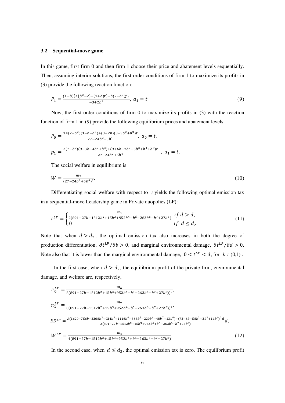#### **3.2 Sequential-move game**

In this game, first firm 0 and then firm 1 choose their price and abatement levels sequentially. Then, assuming interior solutions, the first-order conditions of firm 1 to maximize its profits in (3) provide the following reaction function:

$$
P_1 = \frac{(1-b)(A(b^2-2)-(1+b)t)-b(2-b^2)p_0}{-3+2b^2}, \ a_1 = t. \tag{9}
$$

Now, the first-order conditions of firm 0 to maximize its profits in (3) with the reaction function of firm 1 in (9) provide the following equilibrium prices and abatement levels:

$$
P_0 = \frac{3A(2-b^2)(3-b-b^2)+(3+2b)(3-3b^2+b^3)t}{27-24b^2+5b^4}, \ a_0 = t.
$$
  

$$
p_1 = \frac{A(2-b^2)(9-3b-4b^2+b^3)+(9+6b-7b^2-5b^3+b^4+b^5)t}{27-24b^2+5b^4}, \ a_1 = t.
$$

The social welfare in equilibrium is

$$
W = \frac{m_2}{(27 - 24b^2 + 5b^4)^2}.
$$
 (10)

Differentiating social welfare with respect to *t* yields the following optimal emission tax in a sequential-move Leadership game in Private duopolies (LP):

$$
t^{LP} = \begin{cases} \frac{m_3}{2(891 - 27b - 1512b^2 + 15b^3 + 952b^4 + b^5 - 263b^6 - b^7 + 27b^8)} & \text{if } d > d_2\\ 0 & \text{if } d \le d_2 \end{cases}
$$
(11)

Note that when  $d > d_2$ , the optimal emission tax also increases in both the degree of production differentiation,  $\partial t^{LP}/\partial b > 0$ , and marginal environmental damage,  $\partial t^{LP}/\partial d > 0$ . Note also that it is lower than the marginal environmental damage,  $0 < t^{LP} < d$ , for  $b \in (0,1)$ .

In the first case, when  $d > d_2$ , the equilibrium profit of the private firm, environmental damage, and welfare are, respectively,

$$
\pi_{0}^{LP} = \frac{m_{6}}{8(891-27b-1512b^{2}+15b^{3}+952b^{4}+b^{5}-263b^{6}-b^{7}+27b^{8}))^{2}},
$$
\n
$$
\pi_{1}^{LP} = \frac{m_{7}}{8(891-27b-1512b^{2}+15b^{3}+952b^{4}+b^{5}-263b^{6}-b^{7}+27b^{8}))^{2}},
$$
\n
$$
ED^{LP} = \frac{A(1620-756b-2268b^{2}+924b^{3}+1116b^{4}-368b^{5}-220b^{6}+48b^{7}+13b^{8})-(72-6b-58b^{2}+2b^{3}+11b^{4})^{2}d}{2(891-27b-1512b^{2}+15b^{3}+952b^{4}+b^{5}-263b^{6}-b^{7}+27b^{8})}d,
$$
\n
$$
W^{LP} = \frac{m_{8}}{4(891-27b-1512b^{2}+15b^{3}+952b^{4}+b^{5}-263b^{6}-b^{7}+27b^{8})}.
$$
\n(12)

In the second case, when  $d \leq d_2$ , the optimal emission tax is zero. The equilibrium profit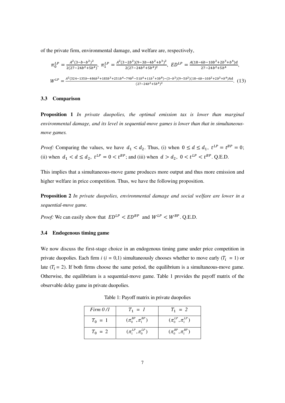of the private firm, environmental damage, and welfare are, respectively,

$$
\pi_{0}^{LP} = \frac{A^{2}(3-b-b^{2})^{2}}{2(27-24b^{2}+5b^{4})}, \ \pi_{1}^{LP} = \frac{A^{2}(3-2b^{2})(9-3b-4b^{2}+b^{3})^{2}}{2(27-24b^{2}+5b^{4})^{2}}, \ ED^{LP} = \frac{A(18-6b-10b^{2}+2b^{3}+b^{4})d}{27-24b^{2}+5b^{4}},
$$
\n
$$
W^{LP} = \frac{A^{2}(324-135b-486b^{2}+183b^{3}+251b^{4}-79b^{5}-51b^{6}+11b^{7}+3b^{8})-(3-b^{2})(9-5b^{2})(18-6b-10b^{2}+2b^{3}+b^{4})Ad}{(27-24b^{2}+5b^{4})^{2}}.
$$
\n(13)

#### **3.3 Comparison**

**Proposition 1** *In private duopolies, the optimal emission tax is lower than marginal environmental damage, and its level in sequential-move games is lower than that in simultaneousmove games.* 

*Proof:* Comparing the values, we have  $d_1 < d_2$ . Thus, (i) when  $0 \le d \le d_1$ ,  $t^{LP} = t^{BP} = 0$ ; (ii) when  $d_1 < d \leq d_2$ ,  $t^{LP} = 0 < t^{BP}$ ; and (iii) when  $d > d_2$ ,  $0 < t^{LP} < t^{BP}$ . Q.E.D.

This implies that a simultaneous-move game produces more output and thus more emission and higher welfare in price competition. Thus, we have the following proposition.

**Proposition 2** *In private duopolies, environmental damage and social welfare are lower in a sequential-move game.* 

*Proof:* We can easily show that  $ED^{LP} < ED^{BP}$  and  $W^{LP} < W^{BP}$ . Q.E.D.

## **3.4 Endogenous timing game**

We now discuss the first-stage choice in an endogenous timing game under price competition in private duopolies. Each firm  $i$  ( $i = 0,1$ ) simultaneously chooses whether to move early ( $T_i = 1$ ) or late  $(T_i = 2)$ . If both firms choose the same period, the equilibrium is a simultaneous-move game. Otherwise, the equilibrium is a sequential-move game. Table 1 provides the payoff matrix of the observable delay game in private duopolies.

Table 1: Payoff matrix in private duopolies

| Firm 0/1  | $T_1 = 1$                  | $T_1 = 2$                  |
|-----------|----------------------------|----------------------------|
| $T_0 = 1$ | $(\pi_0^{BP}, \pi_1^{BP})$ | $(\pi_0^{LP}, \pi_1^{LP})$ |
| $T_0 = 2$ | $(\pi_1^{LP}, \pi_0^{LP})$ | $(\pi_0^{BP}, \pi_1^{BP})$ |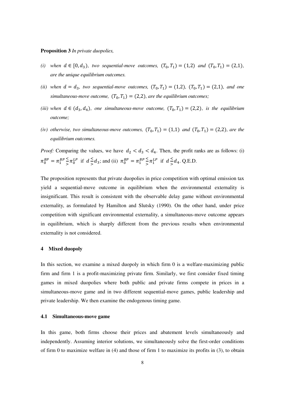#### **Proposition 3** *In private duopolies,*

- *(i)* when  $d \in [0, d_3)$ , two sequential-move outcomes,  $(T_0, T_1) = (1, 2)$  and  $(T_0, T_1) = (2, 1)$ , *are the unique equilibrium outcomes.*
- *(ii)* when  $d = d_3$ , two sequential-move outcomes,  $(T_0, T_1) = (1, 2)$ ,  $(T_0, T_1) = (2, 1)$ , and one *simultaneous-move outcome,*  $(T_0, T_1) = (2,2)$ *, are the equilibrium outcomes;*
- *(iii)* when  $d \in (d_3, d_4)$ , one simultaneous-move outcome,  $(T_0, T_1) = (2,2)$ , is the equilibrium *outcome;*
- *(iv) otherwise, two simultaneous-move outcomes,*  $(T_0, T_1) = (1,1)$  *and*  $(T_0, T_1) = (2,2)$ *, are the equilibrium outcomes.*

*Proof:* Comparing the values, we have  $d_2 < d_3 < d_4$ . Then, the profit ranks are as follows: (i)  $\pi_0^{BP} = \pi_1^{BP} \frac{<}{>}$  $\leq \pi_0^{LP}$  if  $d >$  $\leq d_3$ ; and (ii)  $\pi_0^{BP} = \pi_1^{BP} \leq$  $\frac{1}{2} \pi_1^{LP}$  if  $d \leq$  $\frac{1}{6}d_4$ . Q.E.D.

The proposition represents that private duopolies in price competition with optimal emission tax yield a sequential-move outcome in equilibrium when the environmental externality is insignificant. This result is consistent with the observable delay game without environmental externality, as formulated by Hamilton and Slutsky (1990). On the other hand, under price competition with significant environmental externality, a simultaneous-move outcome appears in equilibrium, which is sharply different from the previous results when environmental externality is not considered.

#### **4 Mixed duopoly**

In this section, we examine a mixed duopoly in which firm 0 is a welfare-maximizing public firm and firm 1 is a profit-maximizing private firm. Similarly, we first consider fixed timing games in mixed duopolies where both public and private firms compete in prices in a simultaneous-move game and in two different sequential-move games, public leadership and private leadership. We then examine the endogenous timing game.

#### **4.1 Simultaneous-move game**

In this game, both firms choose their prices and abatement levels simultaneously and independently. Assuming interior solutions, we simultaneously solve the first-order conditions of firm 0 to maximize welfare in (4) and those of firm 1 to maximize its profits in (3), to obtain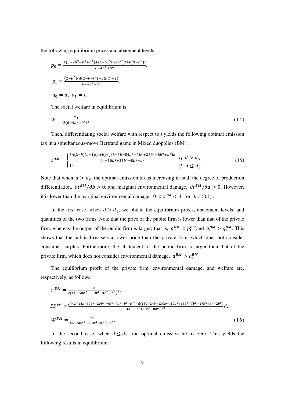the following equilibrium prices and abatement levels:

$$
p_0 = \frac{A(3-2b^2-b^3+b^4)+(1-b)(3-2b^2)d+b(3-b^2)t}{6-4b^2+b^4},
$$
  
\n
$$
p_1 = \frac{(2-b^2)(A(2-b)+(1-b)bd)+2t}{6-4b^2+b^4},
$$
  
\n
$$
a_0 = d, \ a_1 = t.
$$

The social welfare in equilibrium is

$$
W = \frac{n_1}{2(6 - 4b^2 + b^4)^2}.
$$
 (14)

Then, differentiating social welfare with respect to *t* yields the following optimal emission tax in a simultaneous-move Bertrand game in Mixed duopolies (BM):

$$
t^{BM} = \begin{cases} \frac{2A(2-b)(b-1)(1+b)+(48-2b-54b^2+2b^3+28b^4-8b^6+b^8)d}{44-50b^2+28b^4-8b^6+b^8} & \text{if } d > d_5\\ 0 & \text{if } d \le d_5 \end{cases} (15)
$$

Note that when  $d > d_5$ , the optimal emission tax is increasing in both the degree of production differentiation,  $\partial t^{BM}/\partial b > 0$ , and marginal environmental damage,  $\partial t^{BM}/\partial d > 0$ . However, it is lower than the marginal environmental damage,  $0 < t^{BM} < d$  for  $b \in (0,1)$ .

In the first case, when  $d > d_5$ , we obtain the equilibrium prices, abatement levels, and quantities of the two firms. Note that the price of the public firm is lower than that of the private firm, whereas the output of the public firm is larger; that is,  $p_0^{BM} < p_1^{BM}$  and  $q_0^{BM} > q_1^{BM}$ . This shows that the public firm sets a lower price than the private firm, which does not consider consumer surplus. Furthermore, the abatement of the public firm is larger than that of the private firm, which does not consider environmental damage,  $a_0^{BM} > a_1^{BM}$ .

The equilibrium profit of the private firm, environmental damage, and welfare are, respectively, as follows:

$$
\pi_1^{BM} = \frac{n_2}{2(44-50b^2+28b^4-8b^6+b^8)^2},
$$
\n
$$
ED^{BM} = \frac{A(42-24b-30b^2+20b^3+9b^4-7b^5-b^6+b^7)-d(130-24b-130b^2+20b^3+65b^4-7b^5-17b^6+b^7+2b^8)}{44-50b^2+28b^4-8b^6+b^8}d,
$$
\n
$$
W^{BM} = \frac{n_3}{44-50b^2+28b^4-8b^6+b^8}.
$$
\n(16)

In the second case, when  $d \leq d_5$ , the optimal emission tax is zero. This yields the following results in equilibrium: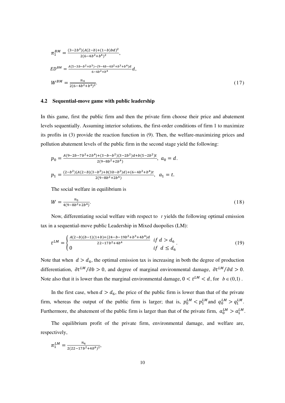$$
\pi_1^{BM} = \frac{(3-2b^2)(A(2-b)+(1-b)bd)^2}{2(6-4b^2+b^4)^2},
$$
  
\n
$$
ED^{BM} = \frac{A(5-3b-b^2+b^3)-(9-4b-4b^2+b^3+b^4)d}{6-4b^2+b^4}d,
$$
  
\n
$$
W^{BM} = \frac{n_4}{2(6-4b^2+b^4)^2}.
$$
\n(17)

#### **4.2 Sequential-move game with public leadership**

In this game, first the public firm and then the private firm choose their price and abatement levels sequentially. Assuming interior solutions, the first-order conditions of firm 1 to maximize its profits in (3) provide the reaction function in (9). Then, the welfare-maximizing prices and pollution abatement levels of the public firm in the second stage yield the following:

$$
p_0 = \frac{A^{(9-2b-7b^2+2b^4)+(3-b-b^2)(3-2b^2)d+b(5-2b^2)t}}{2(9-8b^2+2b^4)}, \ a_0 = d.
$$
  

$$
p_1 = \frac{(2-b^2)(A(2-b)(3-b^2)+b(3b-b^2)d)+(6-4b^2+b^4)t}{2(9-8b^2+2b^4)}, \ a_1 = t.
$$

The social welfare in equilibrium is

$$
W = \frac{n_5}{4(9 - 8b^2 + 2b^4)}.\tag{18}
$$

Now, differentiating social welfare with respect to *t* yields the following optimal emission tax in a sequential-move public Leadership in Mixed duopolies (LM):

$$
t^{LM} = \begin{cases} \frac{A(2-b)(b-1)(1+b)+(24-b-19b^2+b^3+4b^4)d}{22-17b^2+4b^4} & \text{if } d > d_6\\ 0 & \text{if } d \le d_6 \end{cases} (19)
$$

Note that when  $d > d_6$ , the optimal emission tax is increasing in both the degree of production differentiation,  $\partial t^{LM}/\partial b > 0$ , and degree of marginal environmental damage,  $\partial t^{LM}/\partial d > 0$ . Note also that it is lower than the marginal environmental damage,  $0 < t^{LM} < d$ , for  $b \in (0,1)$ .

In the first case, when  $d > d_6$ , the price of the public firm is lower than that of the private firm, whereas the output of the public firm is larger; that is,  $p_0^{LM} < p_1^{LM}$  and  $q_0^{LM} > q_1^{LM}$ . Furthermore, the abatement of the public firm is larger than that of the private firm,  $a_0^{LM} > a_1^{LM}$ .

The equilibrium profit of the private firm, environmental damage, and welfare are, respectively,

$$
\pi_1^{LM} = \frac{n_6}{2(22 - 17b^2 + 4b^4)^2},
$$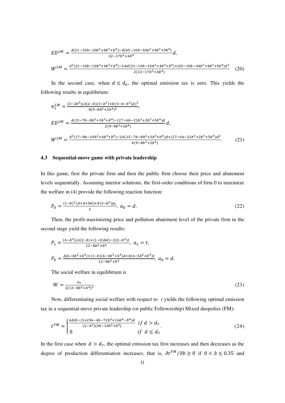$$
ED^{LM} = \frac{A(21 - 10b - 10b^2 + 4b^3 + b^4) - d(65 - 10b - 44b^2 + 4b^3 + 9b^4)}{22 - 17b^2 + 4b^4}d,
$$
  
\n
$$
W^{LM} = \frac{A^2(21 - 10b - 10b^2 + 4b^3 + b^4) - 2Ad(21 - 10b - 10b^2 + 4b^3 + b^4) + (65 - 10b - 44b^2 + 4b^3 + 9b^4)d^2}{2(22 - 17b^2 + 4b^4)}
$$
\n(20)

In the second case, when  $d \leq d_6$ , the optimal emission tax is zero. This yields the following results in equilibrium:

$$
\pi_1^{LM} = \frac{(3-2b^2)(A(2-b)(3-b^2)+b(3-b-b^2)d)^2}{8(9-8b^2+2b^4)^2},
$$
  
\n
$$
ED^{LM} = \frac{A(15-7b-8b^2+3b^3+b^4)-(27-6b-21b^2+2b^3+5b^4)d}{2(9-8b^2+2b^4)}d,
$$
  
\n
$$
W^{LM} = \frac{A^2(17-8b-10b^2+4b^3+b^4)-2A(15-7b-8b^2+3b^3+b^4)d+(27-6b-21b^2+2b^3+5b^4)d^2}{4(9-8b^2+2b^4)}.
$$
\n(21)

#### **4.3 Sequential-move game with private leadership**

In this game, first the private firm and then the public firm choose their price and abatement levels sequentially. Assuming interior solutions, the first-order conditions of firm 0 to maximize the welfare in (4) provide the following reaction function:

$$
P_0 = \frac{(1-b)^2 (A+d+bd)+b(3-b^2)p_1}{2}, \ a_0 = d. \tag{22}
$$

Then, the profit-maximizing price and pollution abatement level of the private firm in the second stage yield the following results:

$$
P_1 = \frac{(4-b^2)(A(2-b)+(1-b)bd)-2(2-b^2)t}{12-8b^2+b^4}, \ a_1 = t,
$$
  

$$
P_0 = \frac{A(6-4b^2+b^3)+(1-b)(6-4b^2+b^4)d+b(6-5b^2+b^4)t}{12-8b^2+b^4}, \ a_0 = d.
$$

The social welfare in equilibrium is

$$
W = \frac{n_7}{2(12 - 8b^2 + b^4)^2}.
$$
\n(23)

Now, differentiating social welfare with respect to *t* yields the following optimal emission tax in a sequential-move private leadership (or public Followership) Mixed duopolies (FM):

$$
t^{FM} = \begin{cases} \frac{4A(b-2)+(96-4b-72b^2+16b^4-b^6)d}{(2-b^2)(44-14b^2+b^4)} & \text{if } d > d_7\\ 0 & \text{if } d \le d_7 \end{cases}
$$
 (24)

In the first case when  $d > d_7$ , the optimal emission tax first increases and then decreases as the degree of production differentiation increases; that is,  $\partial t^{FM}/\partial b \ge 0$  if  $0 < b \le 0.35$  and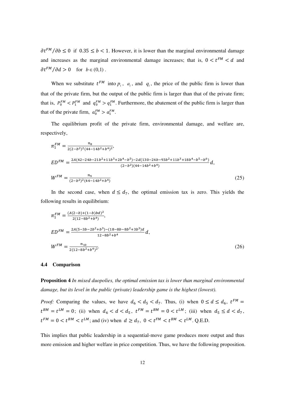$\partial t^{FM}/\partial b \le 0$  if  $0.35 \le b < 1$ . However, it is lower than the marginal environmental damage and increases as the marginal environmental damage increases; that is,  $0 < t^{FM} < d$  and  $\partial t^{FM}/\partial d > 0$  for  $b \in (0,1)$ .

When we substitute  $t^{FM}$  into  $p_i$ ,  $a_i$ , and  $q_i$ , the price of the public firm is lower than that of the private firm, but the output of the public firm is larger than that of the private firm; that is,  $P_0^{FM} < P_1^{FM}$  and  $q_0^{FM} > q_1^{FM}$ . Furthermore, the abatement of the public firm is larger than that of the private firm,  $a_0^{FM} > a_1^{FM}$ .

The equilibrium profit of the private firm, environmental damage, and welfare are, respectively,

$$
\pi_1^{FM} = \frac{n_8}{2(2-b^2)^2(44-14b^2+b^4)^2},
$$
\n
$$
ED^{FM} = \frac{2A(42-24b-21b^2+11b^3+2b^4-b^5)-2d(130-24b-93b^2+11b^3+18b^4-b^5-b^6)}{(2-b^2)(44-14b^2+b^4)}d,
$$
\n
$$
W^{FM} = \frac{n_9}{(2-b^2)^2(44-14b^2+b^4)}\tag{25}
$$

In the second case, when  $d \leq d_7$ , the optimal emission tax is zero. This yields the following results in equilibrium:

$$
\pi_1^{FM} = \frac{(A(2-b)+(1-b)bd)^2}{2(12-8b^2+b^4)},
$$
\n
$$
ED^{FM} = \frac{2A(5-3b-2b^2+b^3)-(18-8b-8b^2+3b^3)d}{12-8b^2+b^4}d,
$$
\n
$$
W^{FM} = \frac{n_{10}}{2(12-8b^2+b^4)^2}.
$$
\n(26)

#### **4.4 Comparison**

**Proposition 4** *In mixed duopolies, the optimal emission tax is lower than marginal environmental damage, but its level in the public (private) leadership game is the highest (lowest).* 

*Proof:* Comparing the values, we have  $d_6 < d_5 < d_7$ . Thus, (i) when  $0 \le d \le d_6$ ,  $t^{FM} =$  $t^{BM} = t^{LM} = 0$ ; (ii) when  $d_6 < d < d_5$ ,  $t^{FM} = t^{BM} = 0 < t^{LM}$ ; (iii) when  $d_5 \leq d < d_7$ ,  $t^{FM} = 0 < t^{BM} < t^{LM}$ ; and (iv) when  $d \ge d_7$ ,  $0 < t^{FM} < t^{BM} < t^{LM}$ . Q.E.D.

This implies that public leadership in a sequential-move game produces more output and thus more emission and higher welfare in price competition. Thus, we have the following proposition.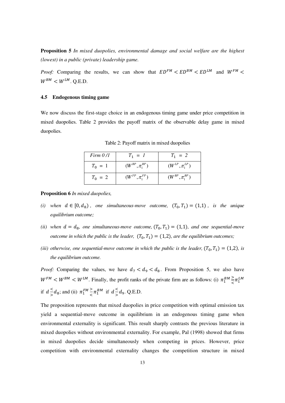**Proposition 5** *In mixed duopolies, environmental damage and social welfare are the highest (lowest) in a public (private) leadership game.* 

*Proof:* Comparing the results, we can show that  $ED^{FM} \leq ED^{BM} \leq ED^{LM}$  and  $W^{FM} \leq$  $W^{BM} < W^{LM}$ . Q.E.D.

#### **4.5 Endogenous timing game**

We now discuss the first-stage choice in an endogenous timing game under price competition in mixed duopolies. Table 2 provides the payoff matrix of the observable delay game in mixed duopolies.

Table 2: Payoff matrix in mixed duopolies

| Firm 0/1  | $T_1 = 1$              | $T_1 = 2$              |
|-----------|------------------------|------------------------|
| $T_0 = 1$ | $(W^{BP}, \pi_1^{BP})$ | $(W^{LP}, \pi_1^{LP})$ |
| $T_0 = 2$ | $(W^{FP}, \pi_1^{FP})$ | $(W^{BP}, \pi_1^{BP})$ |

**Proposition 6** *In mixed duopolies,* 

- *(i)* when  $d \in [0, d_8)$ , one simultaneous-move outcome,  $(T_0, T_1) = (1, 1)$ , is the unique *equilibrium outcome;*
- *(ii)* when  $d = d_8$ , one simultaneous-move outcome,  $(T_0, T_1) = (1,1)$ , and one sequential-move *outcome in which the public is the leader,*  $(T_0, T_1) = (1,2)$ *, are the equilibrium outcomes;*
- *(iii) otherwise, one sequential-move outcome in which the public is the leader,*  $(T_0, T_1) = (1,2)$ *, is the equilibrium outcome.*

*Proof:* Comparing the values, we have  $d_7 < d_9 < d_8$ . From Proposition 5, we also have  $W^{FM} < W^{BM} < W^{LM}$ . Finally, the profit ranks of the private firm are as follows: (i)  $\pi_1^{BM} \leq$  $\leq \pi_1^{LM}$ if  $d \frac{\epsilon}{\epsilon}$  $\leq d_8$ ; and (ii)  $\pi_1^{FM} \leq$  $\frac{1}{2} \pi_1^{BM}$  if  $d \leq$  $\frac{1}{6}d_9$ . Q.E.D.

The proposition represents that mixed duopolies in price competition with optimal emission tax yield a sequential-move outcome in equilibrium in an endogenous timing game when environmental externality is significant. This result sharply contrasts the previous literature in mixed duopolies without environmental externality. For example, Pal (1998) showed that firms in mixed duopolies decide simultaneously when competing in prices. However, price competition with environmental externality changes the competition structure in mixed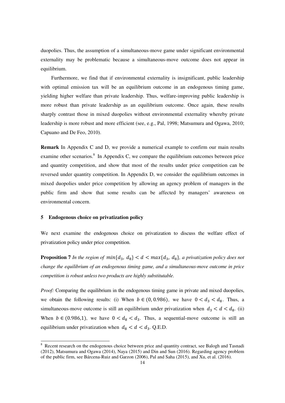duopolies. Thus, the assumption of a simultaneous-move game under significant environmental externality may be problematic because a simultaneous-move outcome does not appear in equilibrium.

Furthermore, we find that if environmental externality is insignificant, public leadership with optimal emission tax will be an equilibrium outcome in an endogenous timing game, yielding higher welfare than private leadership. Thus, welfare-improving public leadership is more robust than private leadership as an equilibrium outcome. Once again, these results sharply contrast those in mixed duopolies without environmental externality whereby private leadership is more robust and more efficient (see, e.g., Pal, 1998; Matsumura and Ogawa, 2010; Capuano and De Feo, 2010).

**Remark** In Appendix C and D, we provide a numerical example to confirm our main results examine other scenarios. $8\text{ In Appendix C}$ , we compare the equilibrium outcomes between price and quantity competition, and show that most of the results under price competition can be reversed under quantity competition. In Appendix D, we consider the equilibrium outcomes in mixed duopolies under price competition by allowing an agency problem of managers in the public firm and show that some results can be affected by managers' awareness on environmental concern.

#### **5 Endogenous choice on privatization policy**

-

We next examine the endogenous choice on privatization to discuss the welfare effect of privatization policy under price competition.

**Proposition 7** *In the region of min* $\{d_3, d_8\} < d < \max\{d_3, d_8\}$ , *a privatization policy does not change the equilibrium of an endogenous timing game, and a simultaneous-move outcome in price competition is robust unless two products are highly substitutable.* 

*Proof:* Comparing the equilibrium in the endogenous timing game in private and mixed duopolies, we obtain the following results: (i) When  $b \in (0, 0.986)$ , we have  $0 < d_3 < d_8$ . Thus, a simultaneous-move outcome is still an equilibrium under privatization when  $d_3 < d < d_8$ . *(ii)* When  $b \in (0.986, 1)$ *,* we have  $0 < d_8 < d_3$ . Thus, a sequential-move outcome is still an equilibrium under privatization when  $d_8 < d < d_3$ . Q.E.D.

<sup>&</sup>lt;sup>8</sup> Recent research on the endogenous choice between price and quantity contract, see Balogh and Tasnadi (2012), Matsumura and Ogawa (2014), Naya (2015) and Din and Sun (2016). Regarding agency problem of the public firm, see Bárcena-Ruiz and Garzon (2006), Pal and Saha (2015), and Xu, et al. (2016).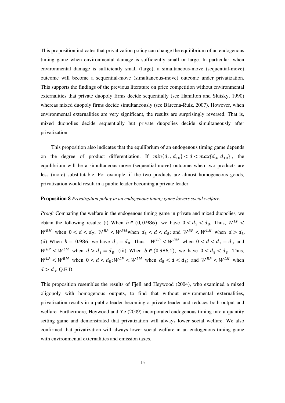This proposition indicates that privatization policy can change the equilibrium of an endogenous timing game when environmental damage is sufficiently small or large. In particular, when environmental damage is sufficiently small (large), a simultaneous-move (sequential-move) outcome will become a sequential-move (simultaneous-move) outcome under privatization. This supports the findings of the previous literature on price competition without environmental externalities that private duopoly firms decide sequentially (see Hamilton and Slutsky, 1990) whereas mixed duopoly firms decide simultaneously (see Bárcena-Ruiz, 2007). However, when environmental externalities are very significant, the results are surprisingly reversed. That is, mixed duopolies decide sequentially but private duopolies decide simultaneously after privatization.

This proposition also indicates that the equilibrium of an endogenous timing game depends on the degree of product differentiation. If  $min\{d_3, d_{10}\} < d < max\{d_3, d_{10}\}$ , the equilibrium will be a simultaneous-move (sequential-move) outcome when two products are less (more) substitutable. For example, if the two products are almost homogeneous goods, privatization would result in a public leader becoming a private leader.

#### **Proposition 8** *Privatization policy in an endogenous timing game lowers social welfare.*

*Proof:* Comparing the welfare in the endogenous timing game in private and mixed duopolies, we obtain the following results: (i) When  $b \in (0, 0.986)$ , we have  $0 < d_3 < d_8$ . Thus,  $W^{LP}$  $W^{BM}$  when  $0 < d < d_7$ ;  $W^{BP} < W^{BM}$  when  $d_3 < d < d_8$ ; and  $W^{BP} < W^{LM}$  when  $d > d_8$ . (ii) When  $b = 0.986$ , we have  $d_3 = d_8$ . Thus,  $W^{LP} < W^{BM}$  when  $0 < d < d_3 = d_8$  and  $W^{BP} < W^{LM}$  when  $d > d_3 = d_8$ . (iii) When  $b \in (0.986, 1)$ , we have  $0 < d_8 < d_3$ . Thus,  $W^{LP} < W^{BM}$  when  $0 < d < d_8$ ;  $W^{LP} < W^{LM}$  when  $d_8 < d < d_3$ ; and  $W^{BP} < W^{LM}$  when  $d > d_3$ . Q.E.D.

This proposition resembles the results of Fjell and Heywood (2004), who examined a mixed oligopoly with homogenous outputs, to find that without environmental externalities, privatization results in a public leader becoming a private leader and reduces both output and welfare. Furthermore, Heywood and Ye (2009) incorporated endogenous timing into a quantity setting game and demonstrated that privatization will always lower social welfare. We also confirmed that privatization will always lower social welfare in an endogenous timing game with environmental externalities and emission taxes.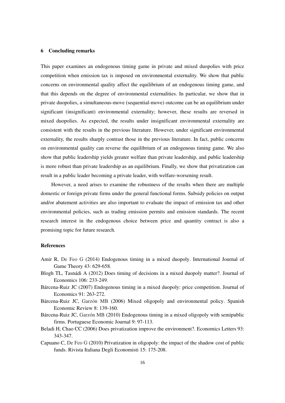#### **6 Concluding remarks**

This paper examines an endogenous timing game in private and mixed duopolies with price competition when emission tax is imposed on environmental externality. We show that public concerns on environmental quality affect the equilibrium of an endogenous timing game, and that this depends on the degree of environmental externalities. In particular, we show that in private duopolies, a simultaneous-move (sequential-move) outcome can be an equilibrium under significant (insignificant) environmental externality; however, these results are reversed in mixed duopolies. As expected, the results under insignificant environmental externality are consistent with the results in the previous literature. However, under significant environmental externality, the results sharply contrast those in the previous literature. In fact, public concerns on environmental quality can reverse the equilibrium of an endogenous timing game. We also show that public leadership yields greater welfare than private leadership, and public leadership is more robust than private leadership as an equilibrium. Finally, we show that privatization can result in a public leader becoming a private leader, with welfare-worsening result.

However, a need arises to examine the robustness of the results when there are multiple domestic or foreign private firms under the general functional forms. Subsidy policies on output and/or abatement activities are also important to evaluate the impact of emission tax and other environmental policies, such as trading emission permits and emission standards. The recent research interest in the endogenous choice between price and quantity contract is also a promising topic for future research.

#### **References**

- Amir R, De Feo G (2014) Endogenous timing in a mixed duopoly. International Journal of Game Theory 43: 629-658.
- Blogh TL, Tasnádi A (2012) Does timing of decisions in a mixed duopoly matter?. Journal of Economics 106: 233-249.
- Bárcena-Ruiz JC (2007) Endogenous timing in a mixed duopoly: price competition. Journal of Economics 91: 263-272.
- Bárcena-Ruiz JC, Garzón MB (2006) Mixed oligopoly and environmental policy. Spanish Economic Review 8: 139-160.
- Bárcena-Ruiz JC, Garzón MB (2010) Endogenous timing in a mixed oligopoly with semipublic firms. Portuguese Economic Journal 9: 97-113.
- Beladi H, Chao CC (2006) Does privatization improve the environment?. Economics Letters 93: 343-347.
- Capuano C, De Feo G (2010) Privatization in oligopoly: the impact of the shadow cost of public funds. Rivista Italiana Degli Economisti 15: 175-208.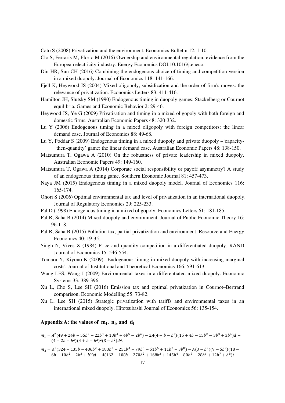Cato S (2008) Privatization and the environment. Economics Bulletin 12: 1-10.

- Clo S, Ferraris M, Florio M (2016) Ownership and environmental regulation: evidence from the European electricity industry. Energy Economics DOI:10.1016/j.eneco.
- Din HR, Sun CH (2016) Combining the endogenous choice of timing and competition version in a mixed duopoly. Journal of Economics 118: 141-166.
- Fjell K, Heywood JS (2004) Mixed oligopoly, subsidization and the order of firm's moves: the relevance of privatization. Economics Letters 83: 411-416.
- Hamilton JH, Slutsky SM (1990) Endogenous timing in duopoly games: Stackelberg or Cournot equilibria. Games and Economic Behavior 2: 29-46.
- Heywood JS, Ye G (2009) Privatisation and timing in a mixed oligopoly with both foreign and domestic firms. Australian Economic Papers 48: 320-332.
- Lu Y (2006) Endogenous timing in a mixed oligopoly with foreign competitors: the linear demand case. Journal of Economics 88: 49-68.
- Lu Y, Poddar S (2009) Endogenous timing in a mixed duopoly and private duopoly –'capacitythen-quantity' game: the linear demand case. Australian Economic Papers 48: 138-150.
- Matsumura T, Ogawa A (2010) On the robustness of private leadership in mixed duopoly. Australian Economic Papers 49: 149-160.
- Matsumura T, Ogawa A (2014) Corporate social responsibility or payoff asymmetry? A study of an endogenous timing game. Southern Economic Journal 81: 457-473.
- Naya JM (2015) Endogenous timing in a mixed duopoly model. Journal of Economics 116: 165-174.
- Ohori S (2006) Optimal environmental tax and level of privatization in an international duopoly. Journal of Regulatory Economics 29: 225-233.
- Pal D (1998) Endogenous timing in a mixed oligopoly. Economics Letters 61: 181-185.
- Pal R, Saha B (2014) Mixed duopoly and environment. Journal of Public Economic Theory 16: 96-118.
- Pal R, Saha B (2015) Pollution tax, partial privatization and environment. Resource and Energy Economics 40: 19-35.
- Singh N, Vives X (1984) Price and quantity competition in a differentiated duopoly. RAND Journal of Economics 15: 546-554.
- Tomaru Y, Kiyono K (2009). 'Endogenous timing in mixed duopoly with increasing marginal costs', Journal of Institutional and Theoretical Economics 166: 591-613.
- Wang LFS, Wang J (2009) Environmental taxes in a differentiated mixed duopoly. Economic Systems 33: 389-396.
- Xu L, Cho S, Lee SH (2016) Emission tax and optimal privatization in Cournot–Bertrand comparison. Economic Modelling 55: 73-82.
- Xu L, Lee SH (2015) Strategic privatization with tariffs and environmental taxes in an international mixed duopoly. Hitotsubashi Journal of Economics 56: 135-154.

# Appendix A: the values of  $m_i$ ,  $n_i$ , and  $d_i$

- $m_1 = A^2(49 + 24b 55b^2 22b^3 + 18b^4 + 4b^5 2b^6) 2A(4 + b b^2)(15 + 4b 15b^2 3b^3 + 3b^4)d$  $(4+2b-b^2)(4+b-b^2)^2(3-b^2)d^2$ .
- $m_2 = A^2(324 135b 486b^2 + 183b^3 + 251b^4 79b^5 51b^6 + 11b^7 + 3b^8) A(3 b^2)(9 5b^2)(18 6b - 10b^2 + 2b^3 + b^4)d - A(162 - 108b - 270b^2 + 168b^3 + 145b^4 - 80b^5 - 28b^6 + 12b^7 + b^8)t +$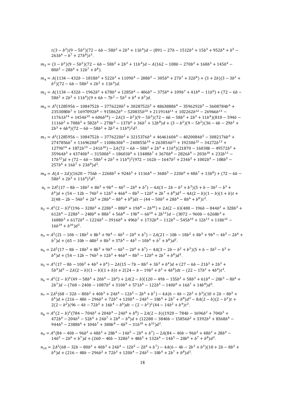$t(3-b^2)(9-5b^2)(72-6b-58b^2+2b^3+11b^4)d-(891-27b-1512b^2+15b^3+952b^4+b^5 263b^6 - b^7 + 27b^8$ ) $t^2$ .

- $m_3 = (3 b^2)(9 5b^2)(72 6b 58b^2 + 2b^3 + 11b^4)d A(162 108b 270b^2 + 168b^3 + 145b^4 80b^5 - 28b^6 + 12b^7 + b^8$ ).
- $m_4 = A(1134 432b 1818b^2 + 522b^3 + 1109b^4 208b^5 305b^6 + 27b^7 + 32b^8) + (3 + 2b)(3 3b^2 +$  $b^3$  $(72 - 6b - 58b^2 + 2b^3 + 11b^4)d$ .
- $m_5 = A(1134 432b 1962b^2 + 678b^3 + 1285b^4 406b^5 375b^6 + 109b^7 + 41b^8 11b^9) + (72 6b 58b^2 + 2b^3 + 11b^4$  $(9 + 6b - 7b^2 - 5b^3 + b^4 + b^5)d$ .
- $m_6 = A^2(1285956 1084752b 3776220b^2 + 3028752b^3 + 4863888b^4 3596292b^5 3608784b^6 +$  $2353080b^7 + 1697092b^8 - 915862b^9 - 520835b^{10} + 211914b^{11} + 102262b^{12} - 26966b^{13} 11761b^{14} + 1454b^{15} + 606b^{16} - 2A(3 - b^2)(9 - 5b^2)(72 - 6b - 58b^2 + 2b^3 + 11b^4)(810 - 594b 1116b^2 + 708b^3 + 582b^4 - 278b^5 - 137b^6 + 36b^7 + 12b^8\right)$ d +  $(3 - b^2)(9 - 5b^2)(36 - 6b - 29b^2 +$  $(2b^3 + 6b^4)(72 - 6b - 58b^2 + 2b^3 + 11b^4)^2d^2$ .
- $m_7 = A^2(1285956 1084752b 3776220b^2 + 3215376b^3 + 4646160b^4 4020084b^5 3082176b^6 +$  $2747856b^7 + 1169620b^8 - 1108630b^9 - 240855b^{10} + 263854b^{11} + 19230b^{12} - 34272b^{13} +$  $1279b^{14} + 1872b^{15} - 241b^{16} - 2A(72 - 6b - 58b^2 + 2b^3 + 11b^4)(21870 - 16038b - 49572b^2 +$  $35964b^3 + 43740b^4 - 31500b^5 - 18603b^6 + 13488b^7 + 3670b^8 - 2826b^9 - 203b^{10} + 232b^{11} (17b^{12})d + (72 - 6b - 58b^2 + 2b^3 + 11b^4)^2(972 - 162b - 1647b^2 + 234b^3 + 1002b^4 - 108b^5 257b^6 + 16b^7 + 23b^8)d^2$ .
- $m_8 = A(A 2d)(1620 756b 2268b^2 + 924b^3 + 1116b^4 368b^5 220b^6 + 48b^7 + 13b^8) + (72 6b 58b^2 + 2b^3 + 11b^4)^2d^2$ .
- $n_1 = 2A^2(17 8b 18b^2 + 8b^3 + 9b^4 4b^5 2b^6 + b^7) 4A(3 2b b^2 + b^3)(5 + b 3b^2 b^3 + b^4)$  $b^4$ ) $d + (54 - 12b - 74b^2 + 12b^3 + 46b^4 - 8b^5 - 12b^6 + 2b^7 + b^8)$  $d^2 - 4A(2 - b)(1 - b)(1 + b)t +$  $2(48-2b-54b^2+2b^3+28b^4-8b^6+b^8)dt-(44-50b^2+28b^4-8b^6+b^8)t^2$ .
- $n_2 = A^2(2-b)^2(196-328b^2+228b^4-88b^6+19b^8-2b^{10}) + 2A(2-b)(480-196b-844b^2+328b^3+$  $612b^4 - 228b^5 - 248b^6 + 88b^7 + 56b^8 - 19b^9 - 6b^{10} + 2b^{11}$ ) $d - (3072 - 960b - 6268b^2 +$  $1688b^3 + 6172b^4 - 1224b^5 - 3916b^6 + 496b^7 + 1732b^8 - 112b^9 - 545b^{10} + 12b^{11} + 118b^{12} 16b^{14} + b^{16}$  $\frac{d^2}{dx^2}$ .
- $n_3 = A^2(21 10b 18b^2 + 8b^3 + 9b^4 4b^5 2b^6 + b^7) 2A(21 10b 18b^2 + 8b^3 + 9b^4 4b^5 2b^6 + b^7)$  $b^7$ ) $d + (65 - 10b - 68b^2 + 8b^3 + 37b^4 - 4b^5 - 10b^6 + b^7 + b^8) d^2$ .
- $n_4 = 2A^2(17 8b 18b^2 + 8b^3 + 9b^4 4b^5 2b^6 + b^7) 4A(3 2b b^2 + b^3)(5 + b 3b^2 b^3 +$  $b^4$ ) $d + (54 - 12b - 74b^2 + 12b^3 + 46b^4 - 8b^5 - 12b^6 + 2b^7 + b^8)d^2$ .
- $n_5 = A^2(17 8b 10b^2 + 4b^3 + b^4) 2A(15 7b 8b^2 + 3b^3 + b^4)d + (27 6b 21b^2 + 2b^3 + b^4)$  $(5b^4)d^2 - 2A(2-b)(1-b)(1+b)t + 2(24-b-19b^2+b^3+4b^4)dt - (22-17b^2+4b^4)t^2$ .
- $n_6 = A^2(2-b)^2(49-58b^2+20b^4-2b^6) + 2A(2-b)(120-49b-155b^2+58b^3+61b^4-20b^5-8b^6+$  $2b^7$ ) $d - (768 - 240b - 1087b^2 + 310b^3 + 571b^4 - 122b^5 - 140b^6 + 16b^7 + 14b^8)d^2$ .
- $n_7 = 2A^2(68 32b 80b^2 + 40b^3 + 24b^4 12b^5 2b^6 + b^7) 4A(6 4b 2b^2 + b^3)(10 + 2b 8b^2 + b^4)$  $b^4$ ) $d + (216 - 48b - 296b^2 + 72b^3 + 120b^4 - 24b^5 - 18b^6 + 2b^7 + b^8)d^2 - 8A(2-b)(2-b^2)t +$  $2(2-b^2)(96-4b-72b^2+16b^4-b^6)dt-(2-b^2)^2(44-14b^2+b^4)t^2$
- $n_8 = A^2(2-b)^2(784-704b^2+204b^4-24b^6+b^8)-2A(2-b)(1920-784b-1696b^2+704b^3+$  $472b^4 - 204b^5 - 52b^6 + 24b^7 + 2b^8 - b^9)d + (12288 - 3840b - 15856b^2 + 3392b^3 + 8368b^4 944b^5 - 2388b^6 + 104b^7 + 380b^8 - 4b^9 - 31b^{10} + b^{12})d^2$ .
- $n_9 = A^2(84 40b 96b^2 + 48b^3 + 28b^4 14b^5 2b^6 + b^7) 2A(84 40b 96b^2 + 48b^3 + 28b^4 (14b^5 - 2b^6 + b^7)d + (260 - 40b - 328b^2 + 48b^3 + 132b^4 - 14b^5 - 20b^6 + b^7 + b^8)d^2$ .
- $n_{10} = 2A^2(68 32b 80b^2 + 40b^3 + 24b^4 12b^5 2b^6 + b^7) 4A(6 4b 2b^2 + b^3)(10 + 2b 8b^2 +$  $b^4$ ) $d + (216 - 48b - 296b^2 + 72b^3 + 120b^4 - 24b^5 - 18b^6 + 2b^7 + b^8)d^2$ .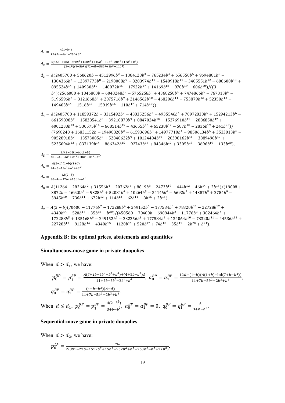$d_1 = \frac{A(1-b^2)}{12+7b-6b^2-2}$  $\frac{A(1 + b)}{12 + 7b - 6b^2 - 2b^3 + b^4}$ 

 $d_2 = \frac{4(162-108b-270b^2+168b^3+145b^4-80b^5-28b^6+12b^7+b^8)}{(3-b^2)(9-5b^2)(72-6b-58b^2+2b^3+11b^4)}.$  $(3-b^2)(9-5b^2)(72-6b-58b^2+2b^3+11b^4)$ 

- $d_3 = A(2405700 + 568620b 4512996b^2 1384128b^3 765234b^4 + 656550b^5 + 9694881b^6 +$  $1304366b^7 - 12397773b^8 - 2198008b^9 + 8283974b^{10} + 1540918b^{11} - 3405551b^{12} - 608600b^{13} +$  $895524b^{14} + 140930b^{15} - 148072b^{16} - 17922b^{17} + 14169b^{18} + 970b^{19} - 606b^{20}$ )/((3  $b^2$ )(2566080 + 1846800b – 6043248b<sup>2</sup> – 5765256b<sup>3</sup> + 4368258b<sup>4</sup> + 7474866b<sup>5</sup> + 767313b<sup>6</sup> –  $5196596b^7 - 3121668b^8 + 2075716b^9 + 2146562b^{10} - 468206b^{11} - 753879b^{12} + 52350b^{13} +$  $149403b^{14} - 1516b^{15} - 15919b^{16} - 110b^{17} + 714b^{18}$ ).
- $d_4 = A(2405700 + 11859372b 3315492b^2 43835256b^3 4935546b^4 + 70972830b^5 + 15294213b^6 66159898b^7 - 15838541b^8 + 39218870b^9 + 8847024b^{10} - 15376910b^{11} - 2886850b^{12} +$  $4001238b^{13} + 530575b^{14} - 668514b^{15} - 43655b^{16} + 65238b^{17} - 587b^{18} - 2836b^{19} + 241b^{20}$  $(7698240 + 16831152b - 19498320b^2 - 61593696b^3 + 14977710b^4 + 98506134b^5 + 3533013b^6 90528918b^7 - 13573085b^8 + 52840622b^9 + 10124404b^{10} - 20398162b^{11} - 3889498b^{12} +$  $5235094b^{13} + 837139b^{14} - 866342b^{15} - 92743b^{16} + 84346b^{17} + 3305b^{18} - 3696b^{19} + 133b^{20}$ .

$$
d_5 = \frac{2A(2-b)(1-b)(1+b)}{48-2b-54b^2+2b^3+28b^4-8b^6+b^8}.
$$

$$
d_6 = \frac{A(2-b)(1-b)(1+b)}{24-b-19b^2+b^3+4b^4}.
$$

$$
d_7 = \frac{4A(2-b)}{96-4b-72b^2+16b^4-b^6}.
$$

- $d_8 = A(11264 28264b^2 + 31556b^4 20762b^6 + 8819b^8 2473b^{10} + 444b^{12} 46b^{14} + 2b^{16})/(19008 +$  $3872b - 46920b^2 - 9328b^3 + 52084b^4 + 10264b^5 - 34146b^6 - 6692b^7 + 14387b^8 + 2784b^9 3945h^{10} - 736h^{11} + 672h^{12} + 114h^{13} - 62h^{14} - 8h^{15} + 2h^{16}$ .
- $d_9 = A(2 b)(70400 11776b^2 172288b^4 + 249152b^6 177584b^8 + 78320b^{10} 22728b^{12} +$  $4340b^{14} - 520b^{16} + 35b^{18} - b^{20}$  $/(450560 - 70400b - 690944b^2 + 11776b^3 + 302464b^4 +$  $172288b^5 + 135168b^6 - 249152b^7 - 232256b^8 + 177584b^9 + 134064b^{10} - 78320b^{11} - 44536b^{12} +$  $22728b^{13} + 9128b^{14} - 4340b^{15} - 1120b^{16} + 520b^{17} + 74b^{18} - 35b^{19} - 2b^{20} + b^{21}$ .

#### **Appendix B: the optimal prices, abatements and quantities**

#### **Simultaneous-move game in private duopolies**

When  $d > d_1$ , we have:

$$
p_0^{BP} = p_1^{BP} = \frac{A(7+2b-5b^2-b^3+b^4)+(4+5b-b^3)d}{11+7b-5b^2-2b^3+b^4}, \ a_0^{BP} = a_1^{BP} = \frac{12d-(1-b)(A(1+b)-bd(7+b-b^2))}{11+7b-5b^2-2b^3+b^4},
$$
  

$$
q_0^{BP} = q_1^{BP} = \frac{(4+b-b^2)(A-d)}{11+7b-5b^2-2b^3+b^4}.
$$

When  $d \leq d_1$ ,  $p_0^{BP} = p_1^{BP} = \frac{A(2-b^2)}{3+b-b^2}$  $\frac{A(2-b^{2})}{3+b-b^{2}}$ ,  $a_0^{BP} = a_1^{BP} = 0$ ,  $q_0^{BP} = q_1^{BP} = \frac{A}{3+b-b^{2}}$  $\frac{A}{3+b-b^2}$ .

#### **Sequential-move game in private duopolies**

When  $d > d_2$ , we have:

$$
p_0^{LP} = \frac{m_4}{2(891 - 27b - 1512b^2 + 15b^3 + 952b^4 + b^5 - 263b^6 - b^7 + 27b^8)},
$$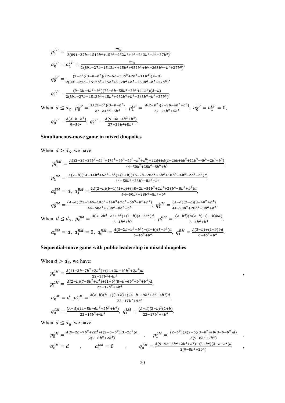$$
p_1^{LP} = \frac{m_5}{2(891-27b-1512b^2+15b^3+952b^4+b^5-263b^6-b^7+27b^8)},
$$
  
\n
$$
a_0^{LP} = a_1^{LP} = \frac{m_3}{2(891-27b-1512b^2+15b^3+952b^4+b^5-263b^6-b^7+27b^8)},
$$
  
\n
$$
q_0^{LP} = \frac{(3-b^2)(3-b-b^2)(72-6b-58b^2+2b^3+11b^4)(A-d)}{2(891-27b-1512b^2+15b^3+952b^4+b^5-263b^6-b^7+27b^8)},
$$
  
\n
$$
q_1^{LP} = \frac{(9-3b-4b^2+b^3)(72-6b-58b^2+2b^3+11b^4)(A-d)}{2(891-27b-1512b^2+15b^3+952b^4+b^5-263b^6-b^7+27b^8)}.
$$
  
\nWhen  $d \leq d_2$ ,  $p_0^{LP} = \frac{3A(2-b^2)(3-b-b^2)}{27-24b^2+5b^4}$ ,  $p_1^{LP} = \frac{A(2-b^2)(9-3b-4b^2+b^3)}{27-24b^2+5b^4}$ ,  $a_0^{LP} = a_1^{LP} = 0$ ,  
\n
$$
q_0^{LP} = \frac{A(3-b-b^2)}{9-5b^2}
$$
,  $q_1^{LP} = \frac{A(9-3b-4b^2+b^3)}{27-24b^2+5b^4}$ .

$$
q_0^{LP} = \frac{A(3 - B - B)}{9 - 5b^2}, q_1^{LP} = \frac{A(3 - 5b - 4b + 1b)}{27 - 24b^2 + 5b^4}.
$$

# **Simultaneous-move game in mixed duopolies**

When  $d > d_5$ , we have:

$$
p_0^{BM} = \frac{A(22-2b-24b^2-6b^3+17b^4+4b^5-6b^6-b^7+b^8)+22d+bd(2-26b+6b^2+11b^3-4b^4-2b^5+b^6)}{44-50b^2+28b^4-8b^6+b^8},
$$
  
\n
$$
p_1^{BM} = \frac{A(2-b)(14-14b^2+6b^4-b^6)+(1+b)(16-2b-20b^2+6b^3+10b^4-4b^5-2b^6+b^7)d}{44-50b^2+28b^4-8b^6+b^8},
$$
  
\n
$$
a_0^{BM} = d, a_1^{BM} = \frac{2A(2-b)(b-1)(1+b)+(48-2b-54b^2+2b^3+28b^4-8b^6+b^8)d}{44-50b^2+28b^4-8b^6+b^8},
$$
  
\n
$$
q_0^{BM} = \frac{(A-d)(22-14b-18b^2+14b^3+7b^4-6b^5-b^6+b^7)}{44-50b^2+28b^4-8b^6+b^8},
$$
  
\n
$$
q_1^{BM} = \frac{(A-d)(22-14b-18b^2+14b^3+7b^4-6b^5-b^6+b^7)}{44-50b^2+28b^4-8b^6+b^8}.
$$
  
\nWhen  $d \le d_5$ ,  $p_0^{BM} = \frac{A(3-2b^2-b^3+b^4)+(1-b)(3-2b^2)d}{6-4b^2+b^4},$   
\n $p_1^{BM} = \frac{(2-b^2)(A(2-b)+(1-b)bd)}{6-4b^2+b^4},$   
\n $a_0^{BM} = d, a_1^{BM} = 0, a_0^{BM} = \frac{A(3-2b-b^2+b^3)-(1-b)(3-b^2)d}{6-4b^2+b^4}, a_1^{BM} = \frac{A(2-b)+(1-b)bd}{6-4b^2+b^4}.$ 

# **Sequential-move game with public leadership in mixed duopolies**

When  $d > d_6$ , we have:

$$
p_0^{LM} = \frac{A(11-3b-7b^2+2b^4)+(11+3b-10b^2+2b^4)d}{22-17b^2+4b^4}
$$
  
\n
$$
p_1^{LM} = \frac{A(2-b)(7-5b^2+b^4)+(1+b)(8-b-6b^2+b^3+b^4)d}{22-17b^2+4b^4},
$$
  
\n
$$
a_0^{LM} = d, \ a_1^{LM} = \frac{A(2-b)(b-1)(1+b)+(24-b-19b^2+b^3+4b^4)d}{22-17b^2+4b^4},
$$
  
\n
$$
q_0^{LM} = \frac{(A-d)(11-5b-6b^2+2b^3+b^4)}{22-17b^2+4b^4}, \ q_1^{LM} = \frac{(A-d)(2-b)^2(2+b)}{22-17b^2+4b^4}.
$$

When  $d \leq d_6$ , we have:

$$
p_0^{LM} = \frac{A(9-2b-7b^2+2b^4)+(3-b-b^2)(3-2b^2)d}{2(9-8b^2+2b^4)} , \qquad p_1^{LM} = \frac{(2-b^2)(A(2-b)(3-b^2)+b(3-b-b^2)d)}{2(9-8b^2+2b^4)} ,
$$
  
\n
$$
a_0^{LM} = d , \qquad a_1^{LM} = 0 , \qquad a_0^{LM} = \frac{A(9-4b-6b^2+2b^3+b^4)-(3-b^2)(3-b-b^2)d}{2(9-8b^2+2b^4)} ,
$$

,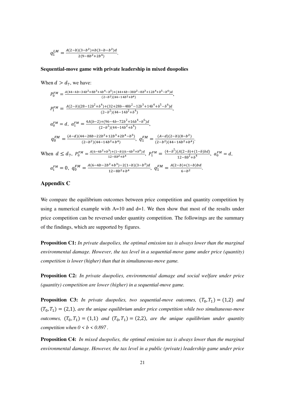$$
q_1^{LM} = \frac{A(2-b)(3-b^2)+b(3-b-b^2)d}{2(9-8b^2+2b^4)}.
$$

#### **Sequential-move game with private leadership in mixed duopolies**

When  $d > d_7$ , we have:

$$
P_0^{FM} = \frac{A(44-4b-34b^2+8b^3+4b^4-b^5)+(44+4b-38b^2-8b^3+12b^4+b^5-b^6)d}{(2-b^2)(44-14b^2+b^4)}
$$
\n
$$
P_1^{FM} = \frac{A(2-b)(28-12b^2+b^4)+(32+28b-48b^2-12b^3+14b^4+b^5-b^6)d}{(2-b^2)(44-14b^2+b^4)}
$$
\n
$$
a_0^{FM} = d, \ a_1^{FM} = \frac{4A(b-2)+(96-4b-72b^2+16b^4-b^6)d}{(2-b^2)(44-14b^2+b^4)}
$$
\n
$$
q_0^{FM} = \frac{(A-d)(44-28b-22b^2+12b^3+2b^4-b^5)}{(2-b^2)(44-14b^2+b^4)}, \ q_1^{FM} = \frac{(A-d)(2-b)(8-b^2)}{(2-b^2)(44-14b^2+b^4)}
$$
\nWhen  $d \le d_7$ ,  $P_0^{FM} = \frac{A(6-4b^2+b^3)+(1-b)(6-4b^2+b^4)d}{12-8b^2+b^4}, \ P_1^{FM} = \frac{(4-b^2)(A(2-b)+(1-b)bd)}{12-8b^2+b^4}, \ a_0^{FM} = d,$ \n
$$
a_1^{FM} = 0, \ q_0^{FM} = \frac{A(6-4b-2b^2+b^3)-2(1-b)(3-b^2)d}{12-8b^2+b^4}, \ q_1^{FM} = \frac{A(2-b)+(1-b)bd}{6-b^2}.
$$

## **Appendix C**

We compare the equilibrium outcomes between price competition and quantity competition by using a numerical example with  $A=10$  and  $d=1$ . We then show that most of the results under price competition can be reversed under quantity competition. The followings are the summary of the findings, which are supported by figures.

**Proposition C1:** *In private duopolies, the optimal emission tax is always lower than the marginal environmental damage. However, the tax level in a sequential-move game under price (quantity) competition is lower (higher) than that in simultaneous-move game.*

**Proposition C2:** *In private duopolies, environmental damage and social welfare under price (quantity) competition are lower (higher) in a sequential-move game.* 

**Proposition C3:** *In private duopolies, two sequential-move outcomes,*  $(T_0, T_1) = (1,2)$  *and*  $(T_0, T_1) = (2,1)$ , are the unique equilibrium under price competition while two simultaneous-move *outcomes,*  $(T_0, T_1) = (1,1)$  and  $(T_0, T_1) = (2,2)$ , are the unique equilibrium under quantity *competition when*  $0 \le b \le 0.897$ .

**Proposition C4:** *In mixed duopolies, the optimal emission tax is always lower than the marginal environmental damage. However, the tax level in a public (private) leadership game under price*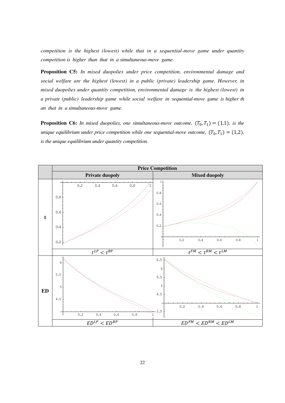*competition is the highest (lowest) while that in a sequential-move game under quantity competition is higher than that in a simultaneous-move game.* 

**Proposition C5:** *In mixed duopolies under price competition, environmental damage and social welfare are the highest (lowest) in a public (private) leadership game. However, in mixed duopolies under quantity competition, environmental damage is the highest (lowest) in a private (public) leadership game while social welfare in sequential-move game is higher th an that in a simultaneous-move game.* 

**Proposition C6:** *In mixed duopolies, one simultaneous-move outcome,*  $(T_0, T_1) = (1,1)$ *, is the unique equilibrium under price competition while one sequential-move outcome,*  $(T_0, T_1) = (1,2)$ *, is the unique equilibrium under quantity competition.* 

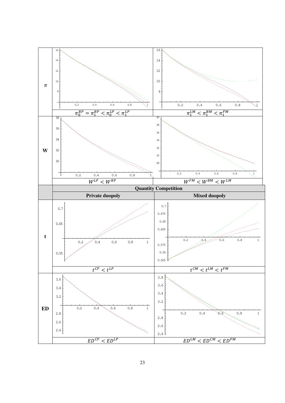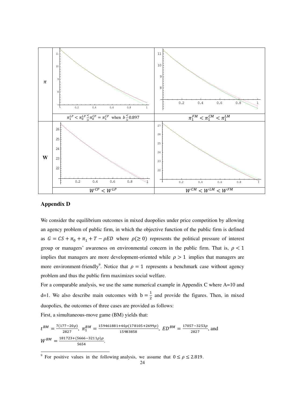

## **Appendix D**

We consider the equilibrium outcomes in mixed duopolies under price competition by allowing an agency problem of public firm, in which the objective function of the public firm is defined as  $G = CS + \pi_0 + \pi_1 + T - \rho ED$  where  $\rho(\geq 0)$  represents the political pressure of interest group or managers' awareness on environmental concern in the public firm. That is,  $\rho < 1$ implies that managers are more development-oriented while  $\rho > 1$  implies that managers are more environment-friendly<sup>9</sup>. Notice that  $\rho = 1$  represents a benchmark case without agency problem and thus the public firm maximizes social welfare.

For a comparable analysis, we use the same numerical example in Appendix C where A=10 and d=1. We also describe main outcomes with  $b = \frac{1}{2}$  and provide the figures. Then, in mixed duopolies, the outcomes of three cases are provided as follows:

First, a simultaneous-move game (BM) yields that:

$$
t^{BM} = \frac{7(177 - 20\rho)}{2827}, \ \pi_1^{BM} = \frac{159461881 + 40\rho(178105 + 2699\rho)}{15983858}, \ ED^{BM} = \frac{17057 - 3253\rho}{2827}, \text{ and}
$$
  

$$
W^{BM} = \frac{181723 + (5666 - 3211\rho)\rho}{5654}.
$$

<sup>9</sup> For positive values in the following analysis, we assume that  $0 \le \rho \le 2.819$ .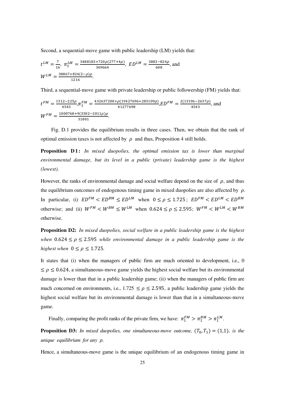Second, a sequential-move game with public leadership (LM) yields that:

$$
t^{LM} = \frac{7}{16}, \ \pi_1^{LM} = \frac{3488183 + 720\rho(277 + 4\rho)}{369664}, \ ED^{LM} = \frac{3883 - 824\rho}{608}, \text{ and}
$$
  

$$
W^{LM} = \frac{38867 + 824(2-\rho)\rho}{1216}.
$$

Third, a sequential-move game with private leadership or public followership (FM) yields that:

$$
t^{FM} = \frac{1312 - 225\rho}{4543}, \pi_1^{FM} = \frac{432637200 + \rho(19427696 + 283109\rho)}{41277698}, ED^{FM} = \frac{2(13196 - 2637\rho)}{4543},
$$
 and  

$$
W^{FM} = \frac{1000768 + 9(3302 - 2011\rho)\rho}{31801}.
$$

Fig. D.1 provides the equilibrium results in three cases. Then, we obtain that the rank of optimal emission taxes is not affected by  $\rho$  and thus, Proposition 4 still holds.

**Proposition D1:** In mixed duopolies, the optimal emission tax is lower than marginal *environmental damage, but its level in a public (private) leadership game is the highest (lowest).* 

However, the ranks of environmental damage and social welfare depend on the size of  $\rho$ , and thus the equilibrium outcomes of endogenous timing game in mixed duopolies are also affected by  $\rho$ . In particular, (i)  $ED^{FM} < ED^{BM} \le ED^{LM}$  when  $0 \le \rho \le 1.725$ ;  $ED^{FM} < ED^{LM} < ED^{BM}$ otherwise; and (ii)  $W^{FM} < W^{BM} \leq W^{LM}$  when  $0.624 \leq \rho \leq 2.595$ ;  $W^{FM} < W^{LM} < W^{BM}$ otherwise.

**Proposition D2:** *In mixed duopolies, social welfare in a public leadership game is the highest when*  $0.624 \leq \rho \leq 2.595$  *while environmental damage in a public leadership game is the highest when*  $0 \leq \rho \leq 1.725$ .

It states that (i) when the managers of public firm are much oriented to development, i.e., 0  $\leq \rho \leq 0.624$ , a simultaneous-move game yields the highest social welfare but its environmental damage is lower than that in a public leadership game; (ii) when the managers of public firm are much concerned on environments, i.e., 1.725  $\leq \rho \leq 2.595$ , a public leadership game yields the highest social welfare but its environmental damage is lower than that in a simultaneous-move game.

Finally, comparing the profit ranks of the private firm, we have:  $\pi_1^{FM} > \pi_1^{BM} > \pi_1^{LM}$ .

**Proposition D3:** *In mixed duopolies, one simultaneous-move outcome,*  $(T_0, T_1) = (1,1)$ *, is the unique equilibrium for any ρ.* 

Hence, a simultaneous-move game is the unique equilibrium of an endogenous timing game in